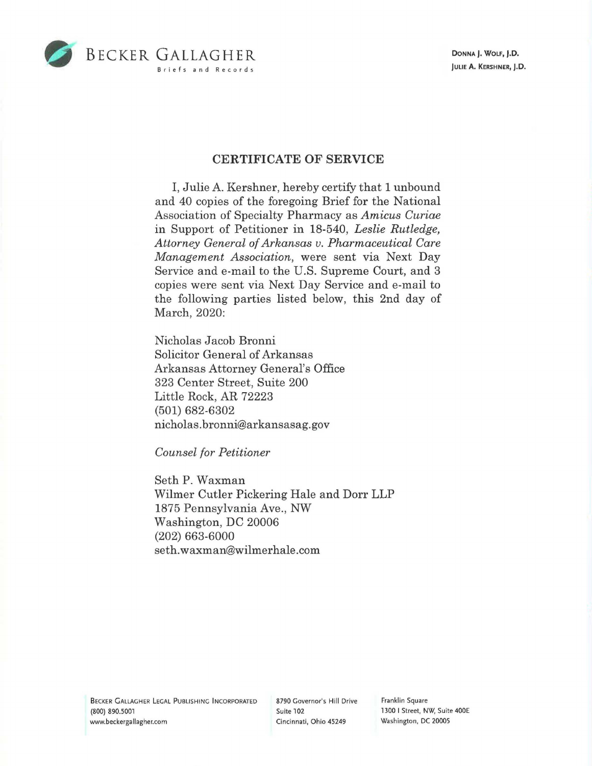

**DONNA J. WOLF, J.D. JULIE A. KERSHNER, J.D.** 

## **CERTIFICATE OF SERVICE**

I, Julie A. Kershner, hereby certify that 1 unbound and 40 copies of the foregoing Brief for the National Association of Specialty Pharmacy as *Amicus Curiae*  in Support of Petitioner in 18-540, *Leslie Rutledge, Attorney General of Arkansas v. Pharmaceutical Care Management Association,* were sent via Next Day Service and e-mail to the U.S. Supreme Court, and 3 copies were sent via Next Day Service and e-mail to the following parties listed below, this 2nd day of March, 2020:

Nicholas Jacob Bronni Solicitor General of Arkansas Arkansas Attorney General's Office 323 Center Street, Suite 200 Little Rock, AR 72223 (501) 682-6302 nicholas. bronni@ar kansasag. gov

*Counsel for Petitioner* 

Seth P. Waxman Wilmer Cutler Pickering Hale and Dorr LLP 1875 Pennsylvania Ave., NW Washington, DC 20006 (202) 663-6000 seth. waxman@wilmer hale .com

BECKER GALLAGHER LEGAL PUBLISHING INCORPORATED (800) 890.5001 www.beckergallagher.com

8790 Governor's Hill Drive Suite 102 Cincinnati, Ohio 45249

Franklin Square 1300 I Street, **NW,** Suite 400E Washington, DC 20005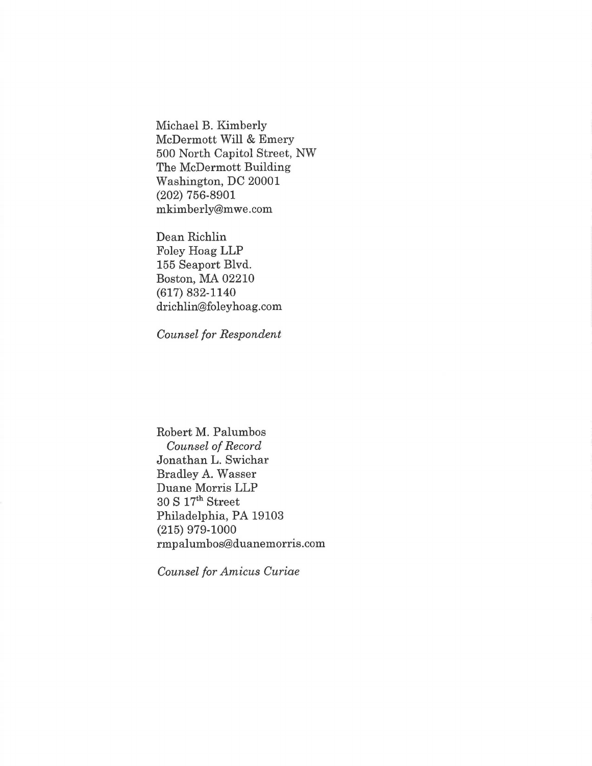Michael B. Kimberly McDermott Will & Emery 500 North Capitol Street, NW The McDermott Building Washington, DC 20001 (202) 756-8901 mkimberly@mwe.com

Dean Richlin Foley Hoag LLP 155 Seaport Blvd. Boston, MA 02210 (617) 832-1140 drichlin@foleyhoag.com

*Counsel for Respondent* 

Robert M. Palumbos *Counsel of Record*  Jonathan L. Swichar Bradley A. Wasser Duane Morris LLP 30 S 17th Street Philadelphia, PA 19103 (215) 979-1000 rmpalumbos@duanemorris.com

*Counsel for Amicus Curiae*